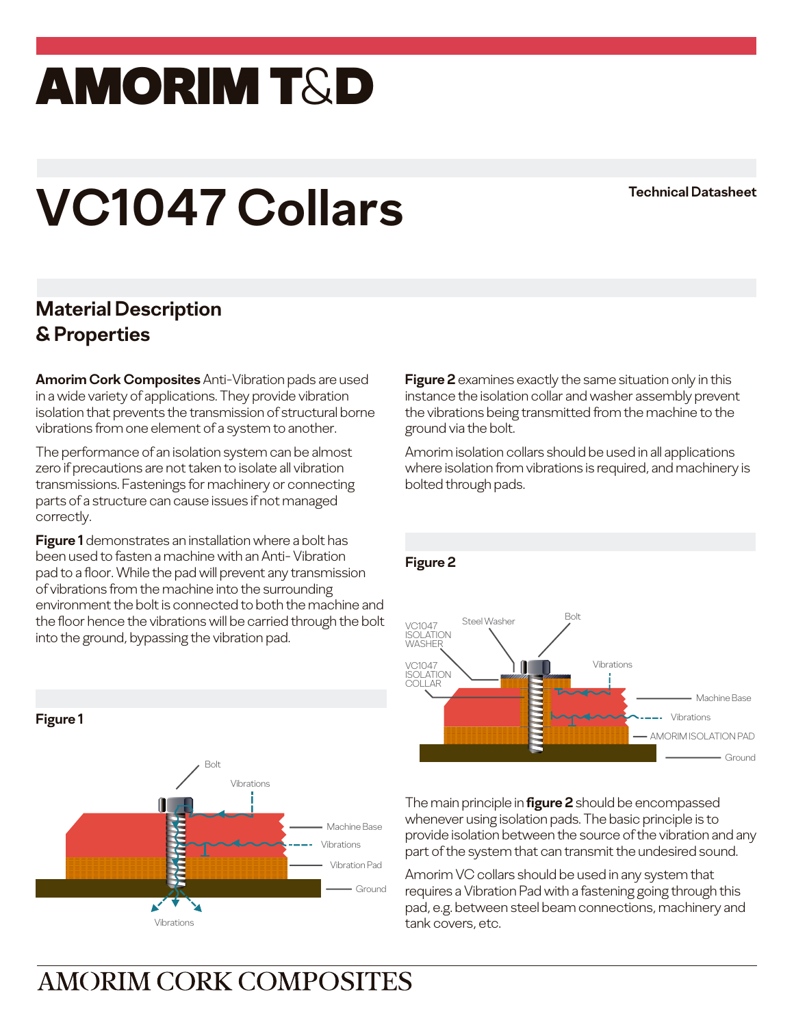## amorim T&D

# **VC1047 Collars Technical Datasheet**

#### **Material Description & Properties**

**Amorim Cork Composites** Anti-Vibration pads are used in a wide variety of applications. They provide vibration isolation that prevents the transmission of structural borne vibrations from one element of a system to another.

The performance of an isolation system can be almost zero if precautions are not taken to isolate all vibration transmissions. Fastenings for machinery or connecting parts of a structure can cause issues if not managed correctly.

**Figure 1** demonstrates an installation where a bolt has been used to fasten a machine with an Anti- Vibration pad to a floor. While the pad will prevent any transmission of vibrations from the machine into the surrounding environment the bolt is connected to both the machine and the floor hence the vibrations will be carried through the bolt into the ground, bypassing the vibration pad.



**Figure 2** examines exactly the same situation only in this instance the isolation collar and washer assembly prevent the vibrations being transmitted from the machine to the ground via the bolt.

Amorim isolation collars should be used in all applications where isolation from vibrations is required, and machinery is bolted through pads.



The main principle in **figure 2** should be encompassed whenever using isolation pads. The basic principle is to provide isolation between the source of the vibration and any part of the system that can transmit the undesired sound.

Amorim VC collars should be used in any system that requires a Vibration Pad with a fastening going through this pad, e.g. between steel beam connections, machinery and tank covers, etc.

### **AMORIM CORK COMPOSITES**